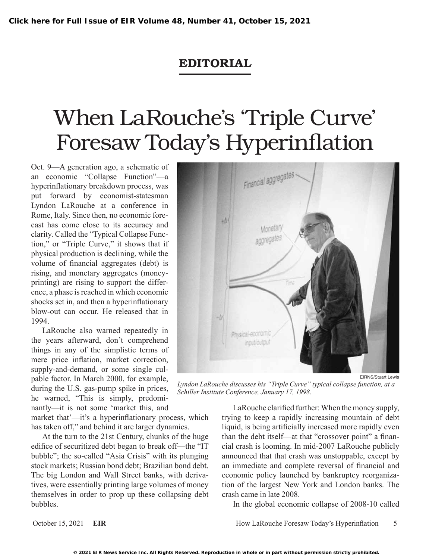## EDITORIAL

## When LaRouche's 'Triple Curve' Foresaw Today's Hyperinflation

Oct. 9—A generation ago, a schematic of an economic "Collapse Function"—a hyperinflationary breakdown process, was put forward by economist-statesman Lyndon LaRouche at a conference in Rome, Italy. Since then, no economic forecast has come close to its accuracy and clarity. Called the "Typical Collapse Function," or "Triple Curve," it shows that if physical production is declining, while the volume of financial aggregates (debt) is rising, and monetary aggregates (moneyprinting) are rising to support the difference, a phase is reached in which economic shocks set in, and then a hyperinflationary blow-out can occur. He released that in 1994.

LaRouche also warned repeatedly in the years afterward, don't comprehend things in any of the simplistic terms of mere price inflation, market correction, supply-and-demand, or some single culpable factor. In March 2000, for example, during the U.S. gas-pump spike in prices, he warned, "This is simply, predominantly—it is not some 'market this, and

market that'—it's a hyperinflationary process, which has taken off," and behind it are larger dynamics.

At the turn to the 21st Century, chunks of the huge edifice of securitized debt began to break off—the "IT bubble"; the so-called "Asia Crisis" with its plunging stock markets; Russian bond debt; Brazilian bond debt. The big London and Wall Street banks, with derivatives, were essentially printing large volumes of money themselves in order to prop up these collapsing debt bubbles.



*Lyndon LaRouche discusses his "Triple Curve" typical collapse function, at a Schiller Institute Conference, January 17, 1998.*

LaRouche clarified further: When the money supply, trying to keep a rapidly increasing mountain of debt liquid, is being artificially increased more rapidly even than the debt itself—at that "crossover point" a financial crash is looming. In mid-2007 LaRouche publicly announced that that crash was unstoppable, except by an immediate and complete reversal of financial and economic policy launched by bankruptcy reorganization of the largest New York and London banks. The crash came in late 2008.

In the global economic collapse of 2008-10 called